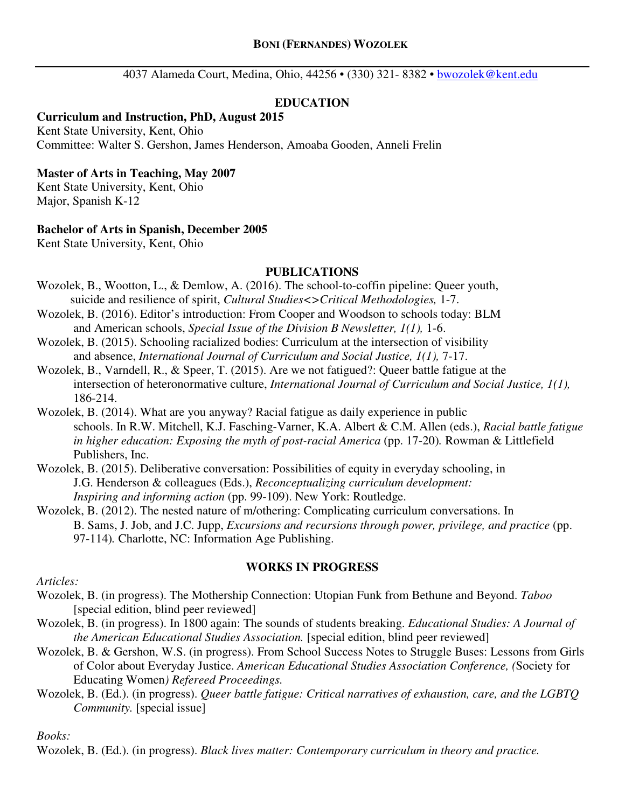4037 Alameda Court, Medina, Ohio, 44256 • (330) 321- 8382 • bwozolek@kent.edu

## **EDUCATION**

#### **Curriculum and Instruction, PhD, August 2015**

Kent State University, Kent, Ohio Committee: Walter S. Gershon, James Henderson, Amoaba Gooden, Anneli Frelin

#### **Master of Arts in Teaching, May 2007**

Kent State University, Kent, Ohio Major, Spanish K-12

#### **Bachelor of Arts in Spanish, December 2005**

Kent State University, Kent, Ohio

#### **PUBLICATIONS**

- Wozolek, B., Wootton, L., & Demlow, A. (2016). The school-to-coffin pipeline: Queer youth, suicide and resilience of spirit, *Cultural Studies<>Critical Methodologies,* 1-7.
- Wozolek, B. (2016). Editor's introduction: From Cooper and Woodson to schools today: BLM and American schools, *Special Issue of the Division B Newsletter, 1(1),* 1-6.
- Wozolek, B. (2015). Schooling racialized bodies: Curriculum at the intersection of visibility and absence, *International Journal of Curriculum and Social Justice, 1(1),* 7-17.
- Wozolek, B., Varndell, R., & Speer, T. (2015). Are we not fatigued?: Queer battle fatigue at the intersection of heteronormative culture, *International Journal of Curriculum and Social Justice, 1(1),*  186-214.
- Wozolek, B. (2014). What are you anyway? Racial fatigue as daily experience in public schools. In R.W. Mitchell, K.J. Fasching-Varner, K.A. Albert & C.M. Allen (eds.), *Racial battle fatigue in higher education: Exposing the myth of post-racial America (pp. 17-20). Rowman & Littlefield* Publishers, Inc.
- Wozolek, B. (2015). Deliberative conversation: Possibilities of equity in everyday schooling, in J.G. Henderson & colleagues (Eds.), *Reconceptualizing curriculum development: Inspiring and informing action* (pp. 99-109). New York: Routledge.
- Wozolek, B. (2012). The nested nature of m/othering: Complicating curriculum conversations. In B. Sams, J. Job, and J.C. Jupp, *Excursions and recursions through power, privilege, and practice* (pp. 97-114)*.* Charlotte, NC: Information Age Publishing.

#### **WORKS IN PROGRESS**

*Articles:* 

- Wozolek, B. (in progress). The Mothership Connection: Utopian Funk from Bethune and Beyond. *Taboo*  [special edition, blind peer reviewed]
- Wozolek, B. (in progress). In 1800 again: The sounds of students breaking. *Educational Studies: A Journal of the American Educational Studies Association.* [special edition, blind peer reviewed]
- Wozolek, B. & Gershon, W.S. (in progress). From School Success Notes to Struggle Buses: Lessons from Girls of Color about Everyday Justice. *American Educational Studies Association Conference, (*Society for Educating Women*) Refereed Proceedings.*
- Wozolek, B. (Ed.). (in progress). *Queer battle fatigue: Critical narratives of exhaustion, care, and the LGBTQ Community.* [special issue]

*Books:* 

Wozolek, B. (Ed.). (in progress). *Black lives matter: Contemporary curriculum in theory and practice.*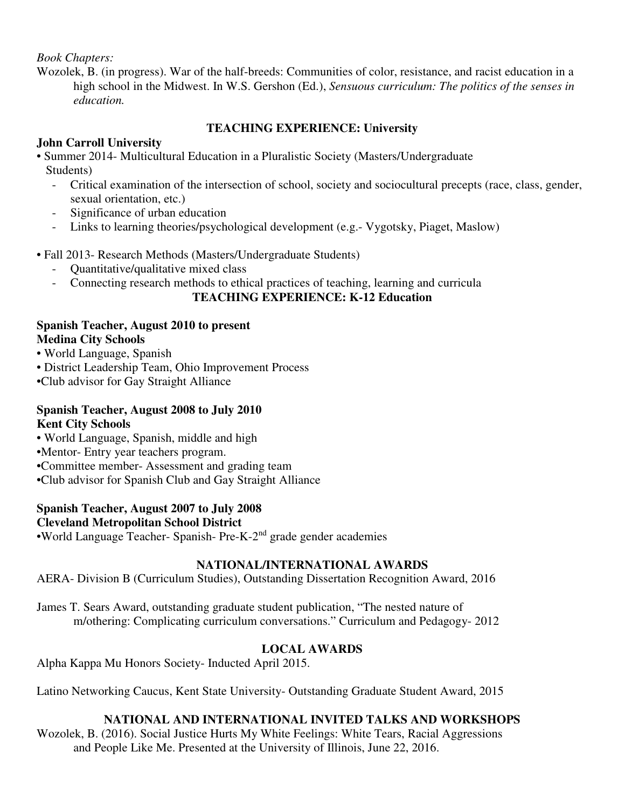### *Book Chapters:*

Wozolek, B. (in progress). War of the half-breeds: Communities of color, resistance, and racist education in a high school in the Midwest. In W.S. Gershon (Ed.), *Sensuous curriculum: The politics of the senses in education.* 

## **TEACHING EXPERIENCE: University**

# **John Carroll University**

- Summer 2014- Multicultural Education in a Pluralistic Society (Masters/Undergraduate Students)
	- Critical examination of the intersection of school, society and sociocultural precepts (race, class, gender, sexual orientation, etc.)
	- Significance of urban education
	- Links to learning theories/psychological development (e.g.- Vygotsky, Piaget, Maslow)
- Fall 2013- Research Methods (Masters/Undergraduate Students)
	- Quantitative/qualitative mixed class
	- Connecting research methods to ethical practices of teaching, learning and curricula

## **TEACHING EXPERIENCE: K-12 Education**

## **Spanish Teacher, August 2010 to present Medina City Schools**

- World Language, Spanish
- District Leadership Team, Ohio Improvement Process
- •Club advisor for Gay Straight Alliance

### **Spanish Teacher, August 2008 to July 2010 Kent City Schools**

- World Language, Spanish, middle and high
- •Mentor- Entry year teachers program.
- •Committee member- Assessment and grading team
- •Club advisor for Spanish Club and Gay Straight Alliance

# **Spanish Teacher, August 2007 to July 2008**

# **Cleveland Metropolitan School District**

•World Language Teacher- Spanish- Pre-K-2nd grade gender academies

## **NATIONAL/INTERNATIONAL AWARDS**

AERA- Division B (Curriculum Studies), Outstanding Dissertation Recognition Award, 2016

James T. Sears Award, outstanding graduate student publication, "The nested nature of m/othering: Complicating curriculum conversations." Curriculum and Pedagogy- 2012

# **LOCAL AWARDS**

Alpha Kappa Mu Honors Society- Inducted April 2015.

Latino Networking Caucus, Kent State University- Outstanding Graduate Student Award, 2015

## **NATIONAL AND INTERNATIONAL INVITED TALKS AND WORKSHOPS**

Wozolek, B. (2016). Social Justice Hurts My White Feelings: White Tears, Racial Aggressions and People Like Me. Presented at the University of Illinois, June 22, 2016.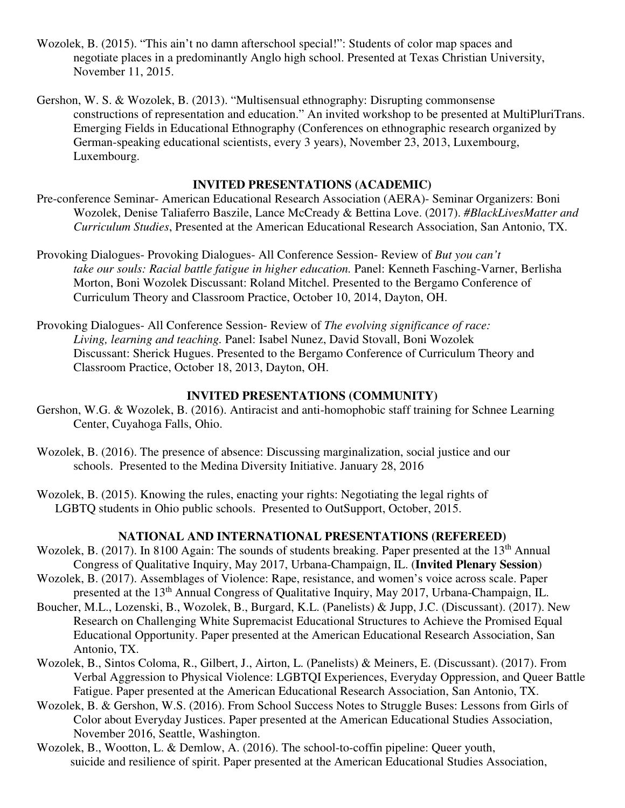- Wozolek, B. (2015). "This ain't no damn afterschool special!": Students of color map spaces and negotiate places in a predominantly Anglo high school. Presented at Texas Christian University, November 11, 2015.
- Gershon, W. S. & Wozolek, B. (2013). "Multisensual ethnography: Disrupting commonsense constructions of representation and education." An invited workshop to be presented at MultiPluriTrans. Emerging Fields in Educational Ethnography (Conferences on ethnographic research organized by German-speaking educational scientists, every 3 years), November 23, 2013, Luxembourg, Luxembourg.

### **INVITED PRESENTATIONS (ACADEMIC)**

- Pre-conference Seminar- American Educational Research Association (AERA)- Seminar Organizers: Boni Wozolek, Denise Taliaferro Baszile, Lance McCready & Bettina Love. (2017). *#BlackLivesMatter and Curriculum Studies*, Presented at the American Educational Research Association, San Antonio, TX.
- Provoking Dialogues- Provoking Dialogues- All Conference Session- Review of *But you can't take our souls: Racial battle fatigue in higher education.* Panel: Kenneth Fasching-Varner, Berlisha Morton, Boni Wozolek Discussant: Roland Mitchel. Presented to the Bergamo Conference of Curriculum Theory and Classroom Practice, October 10, 2014, Dayton, OH.
- Provoking Dialogues- All Conference Session- Review of *The evolving significance of race: Living, learning and teaching.* Panel: Isabel Nunez, David Stovall, Boni Wozolek Discussant: Sherick Hugues. Presented to the Bergamo Conference of Curriculum Theory and Classroom Practice, October 18, 2013, Dayton, OH.

### **INVITED PRESENTATIONS (COMMUNITY)**

- Gershon, W.G. & Wozolek, B. (2016). Antiracist and anti-homophobic staff training for Schnee Learning Center, Cuyahoga Falls, Ohio.
- Wozolek, B. (2016). The presence of absence: Discussing marginalization, social justice and our schools. Presented to the Medina Diversity Initiative. January 28, 2016
- Wozolek, B. (2015). Knowing the rules, enacting your rights: Negotiating the legal rights of LGBTQ students in Ohio public schools. Presented to OutSupport, October, 2015.

#### **NATIONAL AND INTERNATIONAL PRESENTATIONS (REFEREED)**

- Wozolek, B. (2017). In 8100 Again: The sounds of students breaking. Paper presented at the 13<sup>th</sup> Annual Congress of Qualitative Inquiry, May 2017, Urbana-Champaign, IL. (**Invited Plenary Session**)
- Wozolek, B. (2017). Assemblages of Violence: Rape, resistance, and women's voice across scale. Paper presented at the 13th Annual Congress of Qualitative Inquiry, May 2017, Urbana-Champaign, IL.
- Boucher, M.L., Lozenski, B., Wozolek, B., Burgard, K.L. (Panelists) & Jupp, J.C. (Discussant). (2017). New Research on Challenging White Supremacist Educational Structures to Achieve the Promised Equal Educational Opportunity. Paper presented at the American Educational Research Association, San Antonio, TX.
- Wozolek, B., Sintos Coloma, R., Gilbert, J., Airton, L. (Panelists) & Meiners, E. (Discussant). (2017). From Verbal Aggression to Physical Violence: LGBTQI Experiences, Everyday Oppression, and Queer Battle Fatigue. Paper presented at the American Educational Research Association, San Antonio, TX.
- Wozolek, B. & Gershon, W.S. (2016). From School Success Notes to Struggle Buses: Lessons from Girls of Color about Everyday Justices. Paper presented at the American Educational Studies Association, November 2016, Seattle, Washington.
- Wozolek, B., Wootton, L. & Demlow, A. (2016). The school-to-coffin pipeline: Queer youth, suicide and resilience of spirit. Paper presented at the American Educational Studies Association,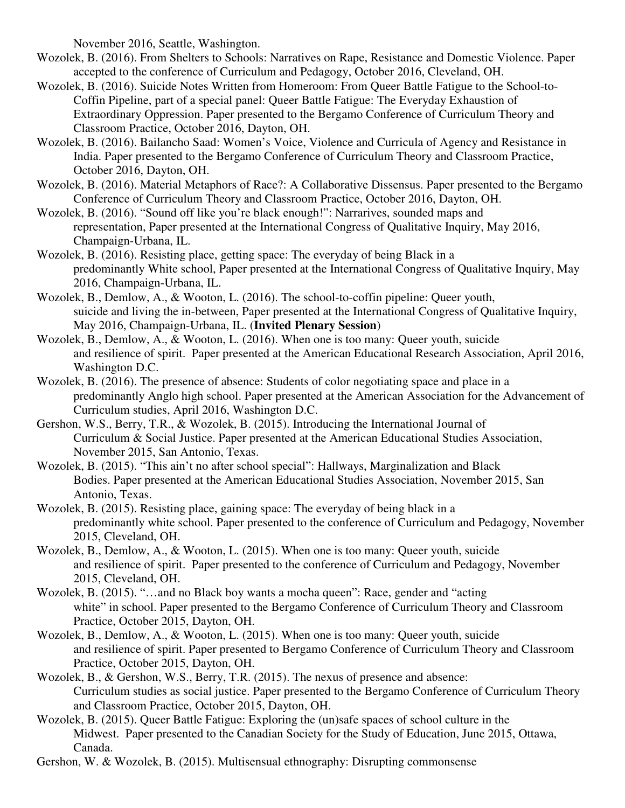November 2016, Seattle, Washington.

- Wozolek, B. (2016). From Shelters to Schools: Narratives on Rape, Resistance and Domestic Violence. Paper accepted to the conference of Curriculum and Pedagogy, October 2016, Cleveland, OH.
- Wozolek, B. (2016). Suicide Notes Written from Homeroom: From Queer Battle Fatigue to the School-to-Coffin Pipeline, part of a special panel: Queer Battle Fatigue: The Everyday Exhaustion of Extraordinary Oppression. Paper presented to the Bergamo Conference of Curriculum Theory and Classroom Practice, October 2016, Dayton, OH.
- Wozolek, B. (2016). Bailancho Saad: Women's Voice, Violence and Curricula of Agency and Resistance in India. Paper presented to the Bergamo Conference of Curriculum Theory and Classroom Practice, October 2016, Dayton, OH.
- Wozolek, B. (2016). Material Metaphors of Race?: A Collaborative Dissensus. Paper presented to the Bergamo Conference of Curriculum Theory and Classroom Practice, October 2016, Dayton, OH.
- Wozolek, B. (2016). "Sound off like you're black enough!": Narrarives, sounded maps and representation, Paper presented at the International Congress of Qualitative Inquiry, May 2016, Champaign-Urbana, IL.
- Wozolek, B. (2016). Resisting place, getting space: The everyday of being Black in a predominantly White school, Paper presented at the International Congress of Qualitative Inquiry, May 2016, Champaign-Urbana, IL.
- Wozolek, B., Demlow, A., & Wooton, L. (2016). The school-to-coffin pipeline: Queer youth, suicide and living the in-between, Paper presented at the International Congress of Qualitative Inquiry, May 2016, Champaign-Urbana, IL. (**Invited Plenary Session**)
- Wozolek, B., Demlow, A., & Wooton, L. (2016). When one is too many: Queer youth, suicide and resilience of spirit. Paper presented at the American Educational Research Association, April 2016, Washington D.C.
- Wozolek, B. (2016). The presence of absence: Students of color negotiating space and place in a predominantly Anglo high school. Paper presented at the American Association for the Advancement of Curriculum studies, April 2016, Washington D.C.
- Gershon, W.S., Berry, T.R., & Wozolek, B. (2015). Introducing the International Journal of Curriculum & Social Justice. Paper presented at the American Educational Studies Association, November 2015, San Antonio, Texas.
- Wozolek, B. (2015). "This ain't no after school special": Hallways, Marginalization and Black Bodies. Paper presented at the American Educational Studies Association, November 2015, San Antonio, Texas.
- Wozolek, B. (2015). Resisting place, gaining space: The everyday of being black in a predominantly white school. Paper presented to the conference of Curriculum and Pedagogy, November 2015, Cleveland, OH.
- Wozolek, B., Demlow, A., & Wooton, L. (2015). When one is too many: Queer youth, suicide and resilience of spirit. Paper presented to the conference of Curriculum and Pedagogy, November 2015, Cleveland, OH.
- Wozolek, B. (2015). "…and no Black boy wants a mocha queen": Race, gender and "acting white" in school. Paper presented to the Bergamo Conference of Curriculum Theory and Classroom Practice, October 2015, Dayton, OH.
- Wozolek, B., Demlow, A., & Wooton, L. (2015). When one is too many: Queer youth, suicide and resilience of spirit. Paper presented to Bergamo Conference of Curriculum Theory and Classroom Practice, October 2015, Dayton, OH.
- Wozolek, B., & Gershon, W.S., Berry, T.R. (2015). The nexus of presence and absence: Curriculum studies as social justice. Paper presented to the Bergamo Conference of Curriculum Theory and Classroom Practice, October 2015, Dayton, OH.
- Wozolek, B. (2015). Queer Battle Fatigue: Exploring the (un)safe spaces of school culture in the Midwest. Paper presented to the Canadian Society for the Study of Education, June 2015, Ottawa, Canada.
- Gershon, W. & Wozolek, B. (2015). Multisensual ethnography: Disrupting commonsense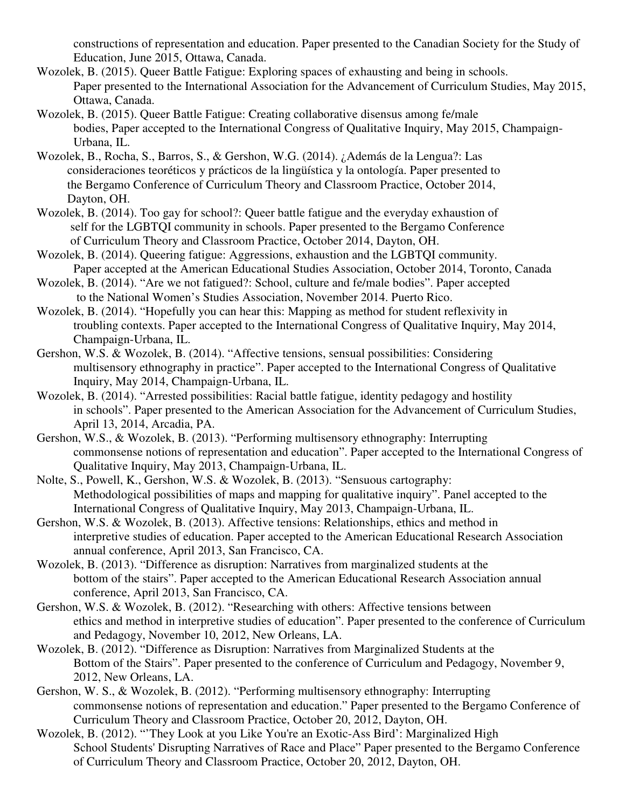constructions of representation and education. Paper presented to the Canadian Society for the Study of Education, June 2015, Ottawa, Canada.

- Wozolek, B. (2015). Queer Battle Fatigue: Exploring spaces of exhausting and being in schools. Paper presented to the International Association for the Advancement of Curriculum Studies, May 2015, Ottawa, Canada.
- Wozolek, B. (2015). Queer Battle Fatigue: Creating collaborative disensus among fe/male bodies, Paper accepted to the International Congress of Qualitative Inquiry, May 2015, Champaign-Urbana, IL.
- Wozolek, B., Rocha, S., Barros, S., & Gershon, W.G. (2014). ¿Además de la Lengua?: Las consideraciones teoréticos y prácticos de la lingüística y la ontología. Paper presented to the Bergamo Conference of Curriculum Theory and Classroom Practice, October 2014, Dayton, OH.
- Wozolek, B. (2014). Too gay for school?: Queer battle fatigue and the everyday exhaustion of self for the LGBTQI community in schools. Paper presented to the Bergamo Conference of Curriculum Theory and Classroom Practice, October 2014, Dayton, OH.
- Wozolek, B. (2014). Queering fatigue: Aggressions, exhaustion and the LGBTQI community. Paper accepted at the American Educational Studies Association, October 2014, Toronto, Canada
- Wozolek, B. (2014). "Are we not fatigued?: School, culture and fe/male bodies". Paper accepted to the National Women's Studies Association, November 2014. Puerto Rico.
- Wozolek, B. (2014). "Hopefully you can hear this: Mapping as method for student reflexivity in troubling contexts. Paper accepted to the International Congress of Qualitative Inquiry, May 2014, Champaign-Urbana, IL.
- Gershon, W.S. & Wozolek, B. (2014). "Affective tensions, sensual possibilities: Considering multisensory ethnography in practice". Paper accepted to the International Congress of Qualitative Inquiry, May 2014, Champaign-Urbana, IL.
- Wozolek, B. (2014). "Arrested possibilities: Racial battle fatigue, identity pedagogy and hostility in schools". Paper presented to the American Association for the Advancement of Curriculum Studies, April 13, 2014, Arcadia, PA.
- Gershon, W.S., & Wozolek, B. (2013). "Performing multisensory ethnography: Interrupting commonsense notions of representation and education". Paper accepted to the International Congress of Qualitative Inquiry, May 2013, Champaign-Urbana, IL.
- Nolte, S., Powell, K., Gershon, W.S. & Wozolek, B. (2013). "Sensuous cartography: Methodological possibilities of maps and mapping for qualitative inquiry". Panel accepted to the International Congress of Qualitative Inquiry, May 2013, Champaign-Urbana, IL.
- Gershon, W.S. & Wozolek, B. (2013). Affective tensions: Relationships, ethics and method in interpretive studies of education. Paper accepted to the American Educational Research Association annual conference, April 2013, San Francisco, CA.
- Wozolek, B. (2013). "Difference as disruption: Narratives from marginalized students at the bottom of the stairs". Paper accepted to the American Educational Research Association annual conference, April 2013, San Francisco, CA.
- Gershon, W.S. & Wozolek, B. (2012). "Researching with others: Affective tensions between ethics and method in interpretive studies of education". Paper presented to the conference of Curriculum and Pedagogy, November 10, 2012, New Orleans, LA.
- Wozolek, B. (2012). "Difference as Disruption: Narratives from Marginalized Students at the Bottom of the Stairs". Paper presented to the conference of Curriculum and Pedagogy, November 9, 2012, New Orleans, LA.
- Gershon, W. S., & Wozolek, B. (2012). "Performing multisensory ethnography: Interrupting commonsense notions of representation and education." Paper presented to the Bergamo Conference of Curriculum Theory and Classroom Practice, October 20, 2012, Dayton, OH.
- Wozolek, B. (2012). "'They Look at you Like You're an Exotic-Ass Bird': Marginalized High School Students' Disrupting Narratives of Race and Place" Paper presented to the Bergamo Conference of Curriculum Theory and Classroom Practice, October 20, 2012, Dayton, OH.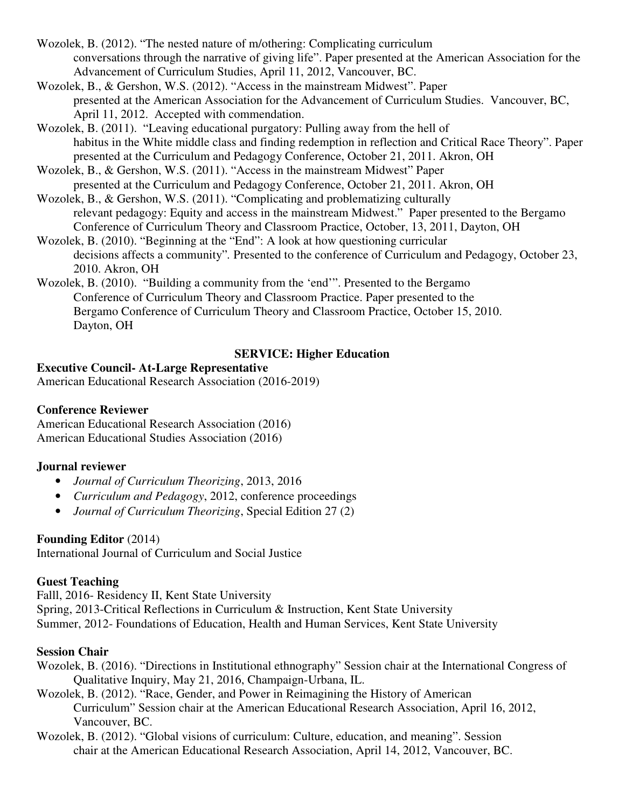- Wozolek, B. (2012). "The nested nature of m/othering: Complicating curriculum conversations through the narrative of giving life". Paper presented at the American Association for the Advancement of Curriculum Studies, April 11, 2012, Vancouver, BC.
- Wozolek, B., & Gershon, W.S. (2012). "Access in the mainstream Midwest". Paper presented at the American Association for the Advancement of Curriculum Studies. Vancouver, BC, April 11, 2012. Accepted with commendation.
- Wozolek, B. (2011). "Leaving educational purgatory: Pulling away from the hell of habitus in the White middle class and finding redemption in reflection and Critical Race Theory". Paper presented at the Curriculum and Pedagogy Conference, October 21, 2011. Akron, OH
- Wozolek, B., & Gershon, W.S. (2011). "Access in the mainstream Midwest" Paper presented at the Curriculum and Pedagogy Conference, October 21, 2011. Akron, OH
- Wozolek, B., & Gershon, W.S. (2011). "Complicating and problematizing culturally relevant pedagogy: Equity and access in the mainstream Midwest."Paper presented to the Bergamo Conference of Curriculum Theory and Classroom Practice, October, 13, 2011, Dayton, OH
- Wozolek, B. (2010). "Beginning at the "End": A look at how questioning curricular decisions affects a community"*.* Presented to the conference of Curriculum and Pedagogy, October 23, 2010. Akron, OH
- Wozolek, B. (2010). "Building a community from the 'end'". Presented to the Bergamo Conference of Curriculum Theory and Classroom Practice. Paper presented to the Bergamo Conference of Curriculum Theory and Classroom Practice, October 15, 2010. Dayton, OH

## **SERVICE: Higher Education**

# **Executive Council- At-Large Representative**

American Educational Research Association (2016-2019)

## **Conference Reviewer**

American Educational Research Association (2016) American Educational Studies Association (2016)

# **Journal reviewer**

- *Journal of Curriculum Theorizing*, 2013, 2016
- *Curriculum and Pedagogy*, 2012, conference proceedings
- *Journal of Curriculum Theorizing*, Special Edition 27 (2)

# **Founding Editor** (2014)

International Journal of Curriculum and Social Justice

# **Guest Teaching**

Falll, 2016- Residency II, Kent State University Spring, 2013-Critical Reflections in Curriculum & Instruction, Kent State University Summer, 2012- Foundations of Education, Health and Human Services, Kent State University

# **Session Chair**

- Wozolek, B. (2016). "Directions in Institutional ethnography" Session chair at the International Congress of Qualitative Inquiry, May 21, 2016, Champaign-Urbana, IL.
- Wozolek, B. (2012). "Race, Gender, and Power in Reimagining the History of American Curriculum" Session chair at the American Educational Research Association, April 16, 2012, Vancouver, BC.
- Wozolek, B. (2012). "Global visions of curriculum: Culture, education, and meaning". Session chair at the American Educational Research Association, April 14, 2012, Vancouver, BC.